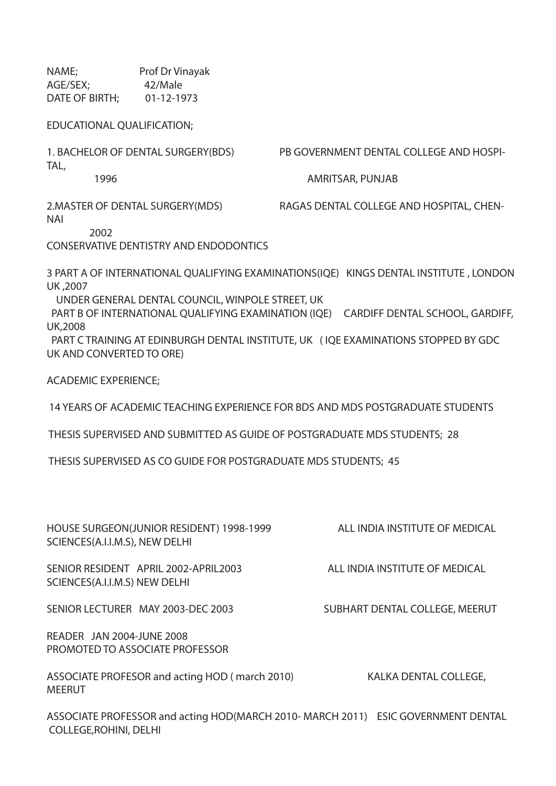NAME; Prof Dr Vinayak AGE/SEX; 42/Male DATE OF BIRTH; 01-12-1973

EDUCATIONAL QUALIFICATION;

TAL,

1. BACHELOR OF DENTAL SURGERY(BDS) PB GOVERNMENT DENTAL COLLEGE AND HOSPI-

1996 AMRITSAR, PUNJAB

2.MASTER OF DENTAL SURGERY(MDS) RAGAS DENTAL COLLEGE AND HOSPITAL, CHEN-NAI

2002

CONSERVATIVE DENTISTRY AND ENDODONTICS

3 PART A OF INTERNATIONAL QUALIFYING EXAMINATIONS(IQE) KINGS DENTAL INSTITUTE , LONDON UK ,2007

UNDER GENERAL DENTAL COUNCIL, WINPOLE STREET, UK

 PART B OF INTERNATIONAL QUALIFYING EXAMINATION (IQE) CARDIFF DENTAL SCHOOL, GARDIFF, UK,2008

 PART C TRAINING AT EDINBURGH DENTAL INSTITUTE, UK ( IQE EXAMINATIONS STOPPED BY GDC UK AND CONVERTED TO ORE)

ACADEMIC EXPERIENCE;

MEERUT

14 YEARS OF ACADEMIC TEACHING EXPERIENCE FOR BDS AND MDS POSTGRADUATE STUDENTS

THESIS SUPERVISED AND SUBMITTED AS GUIDE OF POSTGRADUATE MDS STUDENTS; 28

THESIS SUPERVISED AS CO GUIDE FOR POSTGRADUATE MDS STUDENTS; 45

| HOUSE SURGEON(JUNIOR RESIDENT) 1998-1999<br>SCIENCES(A.I.I.M.S), NEW DELHI | ALL INDIA INSTITUTE OF MEDICAL |
|----------------------------------------------------------------------------|--------------------------------|
| SENIOR RESIDENT APRIL 2002-APRIL 2003<br>SCIENCES(A.I.I.M.S) NEW DELHI     | ALL INDIA INSTITUTE OF MEDICAL |
| SENIOR LECTURER MAY 2003-DEC 2003                                          | SUBHART DENTAL COLLEGE, MEERUT |
| READER JAN 2004-JUNE 2008<br>PROMOTED TO ASSOCIATE PROFESSOR               |                                |
| ASSOCIATE PROFESOR and acting HOD (march 2010)                             | KALKA DENTAL COLLEGE,          |

ASSOCIATE PROFESSOR and acting HOD(MARCH 2010- MARCH 2011) ESIC GOVERNMENT DENTAL COLLEGE,ROHINI, DELHI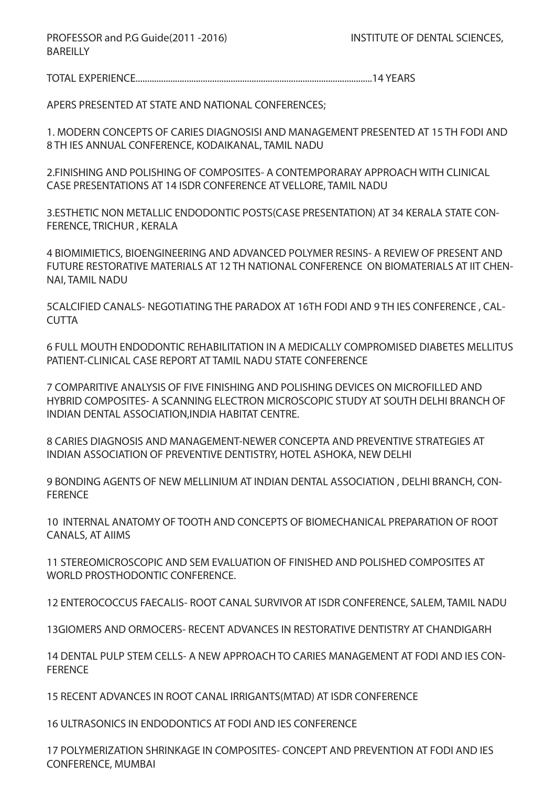PROFESSOR and P.G Guide(2011-2016) INSTITUTE OF DENTAL SCIENCES, **BAREILLY** 

TOTAL EXPERIENCE......................................................................................................14 YEARS

APERS PRESENTED AT STATE AND NATIONAL CONFERENCES;

1. MODERN CONCEPTS OF CARIES DIAGNOSISI AND MANAGEMENT PRESENTED AT 15 TH FODI AND 8 TH IES ANNUAL CONFERENCE, KODAIKANAL, TAMIL NADU

2.FINISHING AND POLISHING OF COMPOSITES- A CONTEMPORARAY APPROACH WITH CLINICAL CASE PRESENTATIONS AT 14 ISDR CONFERENCE AT VELLORE, TAMIL NADU

3.ESTHETIC NON METALLIC ENDODONTIC POSTS(CASE PRESENTATION) AT 34 KERALA STATE CON-FERENCE, TRICHUR , KERALA

4 BIOMIMIETICS, BIOENGINEERING AND ADVANCED POLYMER RESINS- A REVIEW OF PRESENT AND FUTURE RESTORATIVE MATERIALS AT 12 TH NATIONAL CONFERENCE ON BIOMATERIALS AT IIT CHEN-NAI, TAMIL NADU

5CALCIFIED CANALS- NEGOTIATING THE PARADOX AT 16TH FODI AND 9 TH IES CONFERENCE , CAL-**CUTTA** 

6 FULL MOUTH ENDODONTIC REHABILITATION IN A MEDICALLY COMPROMISED DIABETES MELLITUS PATIENT-CLINICAL CASE REPORT AT TAMIL NADU STATE CONFERENCE

7 COMPARITIVE ANALYSIS OF FIVE FINISHING AND POLISHING DEVICES ON MICROFILLED AND HYBRID COMPOSITES- A SCANNING ELECTRON MICROSCOPIC STUDY AT SOUTH DELHI BRANCH OF INDIAN DENTAL ASSOCIATION,INDIA HABITAT CENTRE.

8 CARIES DIAGNOSIS AND MANAGEMENT-NEWER CONCEPTA AND PREVENTIVE STRATEGIES AT INDIAN ASSOCIATION OF PREVENTIVE DENTISTRY, HOTEL ASHOKA, NEW DELHI

9 BONDING AGENTS OF NEW MELLINIUM AT INDIAN DENTAL ASSOCIATION , DELHI BRANCH, CON-FERENCE

10 INTERNAL ANATOMY OF TOOTH AND CONCEPTS OF BIOMECHANICAL PREPARATION OF ROOT CANALS, AT AIIMS

11 STEREOMICROSCOPIC AND SEM EVALUATION OF FINISHED AND POLISHED COMPOSITES AT WORLD PROSTHODONTIC CONFERENCE.

12 ENTEROCOCCUS FAECALIS- ROOT CANAL SURVIVOR AT ISDR CONFERENCE, SALEM, TAMIL NADU

13GIOMERS AND ORMOCERS- RECENT ADVANCES IN RESTORATIVE DENTISTRY AT CHANDIGARH

14 DENTAL PULP STEM CELLS- A NEW APPROACH TO CARIES MANAGEMENT AT FODI AND IES CON-**FERENCE** 

15 RECENT ADVANCES IN ROOT CANAL IRRIGANTS(MTAD) AT ISDR CONFERENCE

16 ULTRASONICS IN ENDODONTICS AT FODI AND IES CONFERENCE

17 POLYMERIZATION SHRINKAGE IN COMPOSITES- CONCEPT AND PREVENTION AT FODI AND IES CONFERENCE, MUMBAI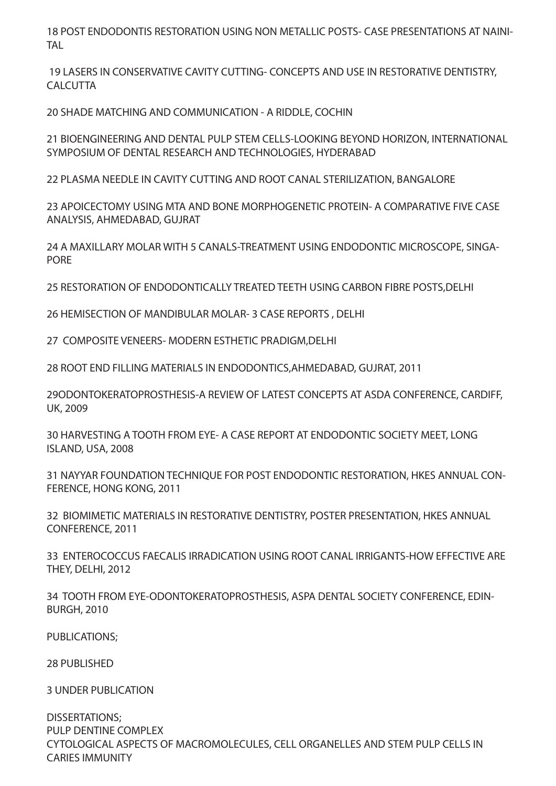18 POST ENDODONTIS RESTORATION USING NON METALLIC POSTS- CASE PRESENTATIONS AT NAINI-**TAL** 

 19 LASERS IN CONSERVATIVE CAVITY CUTTING- CONCEPTS AND USE IN RESTORATIVE DENTISTRY, **CALCUTTA** 

20 SHADE MATCHING AND COMMUNICATION - A RIDDLE, COCHIN

21 BIOENGINEERING AND DENTAL PULP STEM CELLS-LOOKING BEYOND HORIZON, INTERNATIONAL SYMPOSIUM OF DENTAL RESEARCH AND TECHNOLOGIES, HYDERABAD

22 PLASMA NEEDLE IN CAVITY CUTTING AND ROOT CANAL STERILIZATION, BANGALORE

23 APOICECTOMY USING MTA AND BONE MORPHOGENETIC PROTEIN- A COMPARATIVE FIVE CASE ANALYSIS, AHMEDABAD, GUJRAT

24 A MAXILLARY MOLAR WITH 5 CANALS-TREATMENT USING ENDODONTIC MICROSCOPE, SINGA-PORE

25 RESTORATION OF ENDODONTICALLY TREATED TEETH USING CARBON FIBRE POSTS,DELHI

26 HEMISECTION OF MANDIBULAR MOLAR- 3 CASE REPORTS , DELHI

27 COMPOSITE VENEERS- MODERN ESTHETIC PRADIGM,DELHI

28 ROOT END FILLING MATERIALS IN ENDODONTICS,AHMEDABAD, GUJRAT, 2011

29ODONTOKERATOPROSTHESIS-A REVIEW OF LATEST CONCEPTS AT ASDA CONFERENCE, CARDIFF, UK, 2009

30 HARVESTING A TOOTH FROM EYE- A CASE REPORT AT ENDODONTIC SOCIETY MEET, LONG ISLAND, USA, 2008

31 NAYYAR FOUNDATION TECHNIQUE FOR POST ENDODONTIC RESTORATION, HKES ANNUAL CON-FERENCE, HONG KONG, 2011

32 BIOMIMETIC MATERIALS IN RESTORATIVE DENTISTRY, POSTER PRESENTATION, HKES ANNUAL CONFERENCE, 2011

33 ENTEROCOCCUS FAECALIS IRRADICATION USING ROOT CANAL IRRIGANTS-HOW EFFECTIVE ARE THEY, DELHI, 2012

34 TOOTH FROM EYE-ODONTOKERATOPROSTHESIS, ASPA DENTAL SOCIETY CONFERENCE, EDIN-BURGH, 2010

PUBLICATIONS;

28 PUBLISHED

3 UNDER PUBLICATION

DISSERTATIONS; PULP DENTINE COMPLEX CYTOLOGICAL ASPECTS OF MACROMOLECULES, CELL ORGANELLES AND STEM PULP CELLS IN CARIES IMMUNITY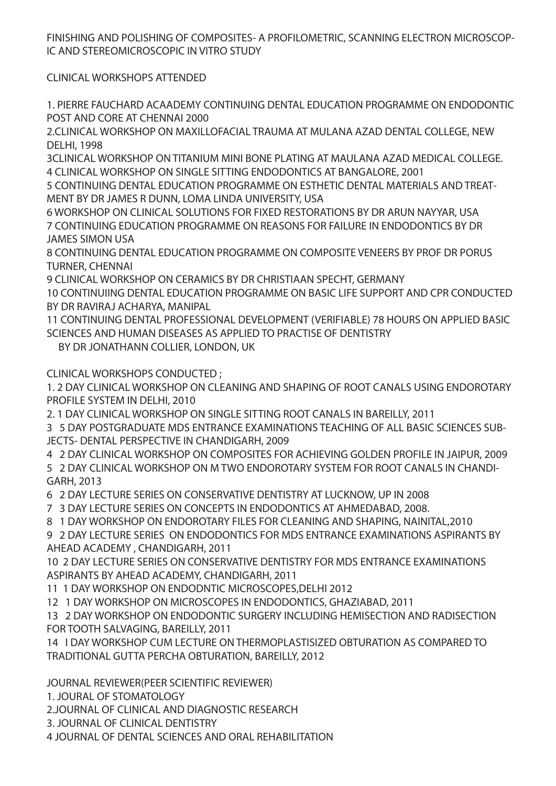FINISHING AND POLISHING OF COMPOSITES- A PROFILOMETRIC, SCANNING ELECTRON MICROSCOP-IC AND STEREOMICROSCOPIC IN VITRO STUDY

CLINICAL WORKSHOPS ATTENDED

1. PIERRE FAUCHARD ACAADEMY CONTINUING DENTAL EDUCATION PROGRAMME ON ENDODONTIC POST AND CORE AT CHENNAI 2000

2.CLINICAL WORKSHOP ON MAXILLOFACIAL TRAUMA AT MULANA AZAD DENTAL COLLEGE, NEW DELHI, 1998

3CLINICAL WORKSHOP ON TITANIUM MINI BONE PLATING AT MAULANA AZAD MEDICAL COLLEGE. 4 CLINICAL WORKSHOP ON SINGLE SITTING ENDODONTICS AT BANGALORE, 2001

5 CONTINUING DENTAL EDUCATION PROGRAMME ON ESTHETIC DENTAL MATERIALS AND TREAT-MENT BY DR JAMES R DUNN, LOMA LINDA UNIVERSITY, USA

6 WORKSHOP ON CLINICAL SOLUTIONS FOR FIXED RESTORATIONS BY DR ARUN NAYYAR, USA 7 CONTINUING EDUCATION PROGRAMME ON REASONS FOR FAILURE IN ENDODONTICS BY DR JAMES SIMON USA

8 CONTINUING DENTAL EDUCATION PROGRAMME ON COMPOSITE VENEERS BY PROF DR PORUS TURNER, CHENNAI

9 CLINICAL WORKSHOP ON CERAMICS BY DR CHRISTIAAN SPECHT, GERMANY

10 CONTINUIING DENTAL EDUCATION PROGRAMME ON BASIC LIFE SUPPORT AND CPR CONDUCTED BY DR RAVIRAJ ACHARYA, MANIPAL

11 CONTINUING DENTAL PROFESSIONAL DEVELOPMENT (VERIFIABLE) 78 HOURS ON APPLIED BASIC SCIENCES AND HUMAN DISEASES AS APPLIED TO PRACTISE OF DENTISTRY

BY DR JONATHANN COLLIER, LONDON, UK

CLINICAL WORKSHOPS CONDUCTED ;

1. 2 DAY CLINICAL WORKSHOP ON CLEANING AND SHAPING OF ROOT CANALS USING ENDOROTARY PROFILE SYSTEM IN DELHI, 2010

2. 1 DAY CLINICAL WORKSHOP ON SINGLE SITTING ROOT CANALS IN BAREILLY, 2011

3 5 DAY POSTGRADUATE MDS ENTRANCE EXAMINATIONS TEACHING OF ALL BASIC SCIENCES SUB-JECTS- DENTAL PERSPECTIVE IN CHANDIGARH, 2009

4 2 DAY CLINICAL WORKSHOP ON COMPOSITES FOR ACHIEVING GOLDEN PROFILE IN JAIPUR, 2009

5 2 DAY CLINICAL WORKSHOP ON M TWO ENDOROTARY SYSTEM FOR ROOT CANALS IN CHANDI-GARH, 2013

6 2 DAY LECTURE SERIES ON CONSERVATIVE DENTISTRY AT LUCKNOW, UP IN 2008

7 3 DAY LECTURE SERIES ON CONCEPTS IN ENDODONTICS AT AHMEDABAD, 2008.

8 1 DAY WORKSHOP ON ENDOROTARY FILES FOR CLEANING AND SHAPING, NAINITAL,2010

9 2 DAY LECTURE SERIES ON ENDODONTICS FOR MDS ENTRANCE EXAMINATIONS ASPIRANTS BY AHEAD ACADEMY , CHANDIGARH, 2011

10 2 DAY LECTURE SERIES ON CONSERVATIVE DENTISTRY FOR MDS ENTRANCE EXAMINATIONS ASPIRANTS BY AHEAD ACADEMY, CHANDIGARH, 2011

11 1 DAY WORKSHOP ON ENDODNTIC MICROSCOPES,DELHI 2012

12 1 DAY WORKSHOP ON MICROSCOPES IN ENDODONTICS, GHAZIABAD, 2011

13 2 DAY WORKSHOP ON ENDODONTIC SURGERY INCLUDING HEMISECTION AND RADISECTION FOR TOOTH SALVAGING, BAREILLY, 2011

14 I DAY WORKSHOP CUM LECTURE ON THERMOPLASTISIZED OBTURATION AS COMPARED TO TRADITIONAL GUTTA PERCHA OBTURATION, BAREILLY, 2012

JOURNAL REVIEWER(PEER SCIENTIFIC REVIEWER)

1. JOURAL OF STOMATOLOGY

2.JOURNAL OF CLINICAL AND DIAGNOSTIC RESEARCH

3. JOURNAL OF CLINICAL DENTISTRY

4 JOURNAL OF DENTAL SCIENCES AND ORAL REHABILITATION